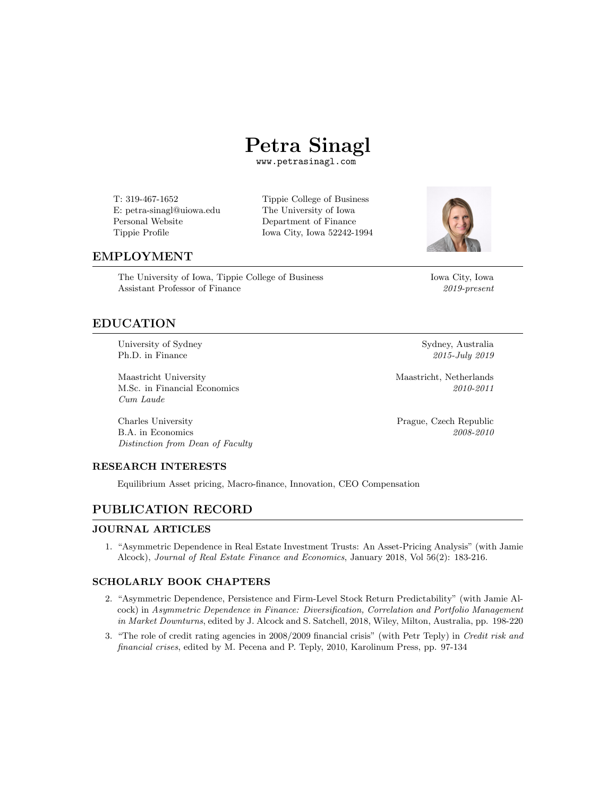

T: 319-467-1652 Tippie College of Business E: petra-sinagl@uiowa.edu The University of Iowa Personal Website Department of Finance

Department of Finance Tippie [Profile](https://tippie.uiowa.edu/people/petra-sinagl) Iowa City, Iowa 52242-1994



## EMPLOYMENT

The University of Iowa, Tippie College of Business Iowa City, Iowa Assistant Professor of Finance *2019-present*

## EDUCATION

University of Sydney Sydney Sydney, Australia Ph.D. in Finance *2015-July 2019*

Maastricht University Maastricht, Netherlands M.Sc. in Financial Economics *2010-2011 Cum Laude*

Charles University Prague, Czech Republic B.A. in Economics *2008-2010 Distinction from Dean of Faculty*

### RESEARCH INTERESTS

Equilibrium Asset pricing, Macro-finance, Innovation, CEO Compensation

## PUBLICATION RECORD

#### JOURNAL ARTICLES

1. "Asymmetric Dependence in Real Estate Investment Trusts: An [Asset-Pricing](https://link.springer.com/article/10.1007/s11146-016-9593-9) Analysis" (with Jamie Alcock), *Journal of Real Estate Finance and Economics*, January 2018, Vol 56(2): 183-216.

### SCHOLARLY BOOK CHAPTERS

- 2. "Asymmetric Dependence, Persistence and Firm-Level Stock Return [Predictability"](https://onlinelibrary.wiley.com/doi/abs/10.1002/9781119288992.ch9) (with Jamie Alcock) in *Asymmetric Dependence in Finance: Diversification, Correlation and Portfolio Management in Market Downturns*, edited by J. Alcock and S. Satchell, 2018, Wiley, Milton, Australia, pp. 198-220
- 3. "The role of credit rating agencies in 2008/2009 financial crisis" (with Petr Teply) in *Credit risk and financial crises*, edited by M. Pecena and P. Teply, 2010, Karolinum Press, pp. 97-134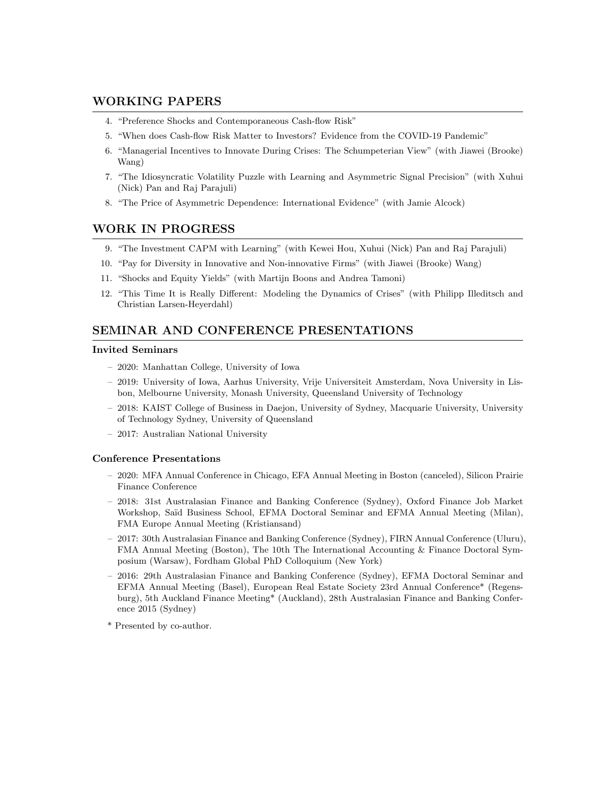## WORKING PAPERS

- 4. "Preference Shocks and [Contemporaneous](https://papers.ssrn.com/sol3/papers.cfm?abstract_id=3556534) Cash-flow Risk"
- 5. "When does Cash-flow Risk Matter to Investors? Evidence from the COVID-19 [Pandemic"](https://papers.ssrn.com/sol3/papers.cfm?abstract_id=3566511)
- 6. "Managerial Incentives to Innovate During Crises: The [Schumpeterian](https://papers.ssrn.com/sol3/papers.cfm?abstract_id=3761498) View" (with Jiawei (Brooke) Wang)
- 7. "The [Idiosyncratic](https://papers.ssrn.com/sol3/papers.cfm?abstract_id=3568496) Volatility Puzzle with Learning and Asymmetric Signal Precision" (with Xuhui (Nick) Pan and Raj Parajuli)
- 8. "The Price of Asymmetric Dependence: [International](https://papers.ssrn.com/sol3/papers.cfm?abstract_id=3568496) Evidence" (with Jamie Alcock)

## WORK IN PROGRESS

- 9. "The Investment CAPM with Learning" (with Kewei Hou, Xuhui (Nick) Pan and Raj Parajuli)
- 10. "Pay for Diversity in Innovative and Non-innovative Firms" (with Jiawei (Brooke) Wang)
- 11. "Shocks and Equity Yields" (with Martijn Boons and Andrea Tamoni)
- 12. "This Time It is Really Different: Modeling the Dynamics of Crises" (with Philipp Illeditsch and Christian Larsen-Heyerdahl)

### SEMINAR AND CONFERENCE PRESENTATIONS

#### Invited Seminars

- 2020: Manhattan College, University of Iowa
- 2019: University of Iowa, Aarhus University, Vrije Universiteit Amsterdam, Nova University in Lisbon, Melbourne University, Monash University, Queensland University of Technology
- 2018: KAIST College of Business in Daejon, University of Sydney, Macquarie University, University of Technology Sydney, University of Queensland
- 2017: Australian National University

#### Conference Presentations

- 2020: MFA Annual Conference in Chicago, EFA Annual Meeting in Boston (canceled), Silicon Prairie Finance Conference
- 2018: 31st Australasian Finance and Banking Conference (Sydney), Oxford Finance Job Market Workshop, Saïd Business School, EFMA Doctoral Seminar and EFMA Annual Meeting (Milan), FMA Europe Annual Meeting (Kristiansand)
- 2017: 30th Australasian Finance and Banking Conference (Sydney), FIRN Annual Conference (Uluru), FMA Annual Meeting (Boston), The 10th The International Accounting & Finance Doctoral Symposium (Warsaw), Fordham Global PhD Colloquium (New York)
- 2016: 29th Australasian Finance and Banking Conference (Sydney), EFMA Doctoral Seminar and EFMA Annual Meeting (Basel), European Real Estate Society 23rd Annual Conference\* (Regensburg), 5th Auckland Finance Meeting\* (Auckland), 28th Australasian Finance and Banking Conference 2015 (Sydney)
- \* Presented by co-author.